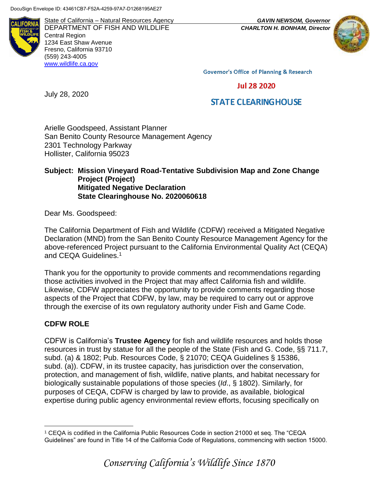**ALIFORNI** 

State of California – Natural Resources Agency *GAVIN NEWSOM, Governor* DEPARTMENT OF FISH AND WILDLIFE *CHARLTON H. BONHAM, Director*  Central Region 1234 East Shaw Avenue Fresno, California 93710 (559) 243-4005 [www.wildlife.ca.gov](http://www.wildlife.ca.gov/)



**Governor's Office of Planning & Research** 

**Jul 28 2020** 

# **STATE CLEARING HOUSE**

Arielle Goodspeed, Assistant Planner San Benito County Resource Management Agency 2301 Technology Parkway Hollister, California 95023

#### **Subject: Mission Vineyard Road-Tentative Subdivision Map and Zone Change Project (Project) Mitigated Negative Declaration State Clearinghouse No. 2020060618**

Dear Ms. Goodspeed:

July 28, 2020

The California Department of Fish and Wildlife (CDFW) received a Mitigated Negative Declaration (MND) from the San Benito County Resource Management Agency for the above-referenced Project pursuant to the California Environmental Quality Act (CEQA) and CEQA Guidelines.<sup>1</sup>

Thank you for the opportunity to provide comments and recommendations regarding those activities involved in the Project that may affect California fish and wildlife. Likewise, CDFW appreciates the opportunity to provide comments regarding those aspects of the Project that CDFW, by law, may be required to carry out or approve through the exercise of its own regulatory authority under Fish and Game Code.

### **CDFW ROLE**

 $\overline{a}$ 

CDFW is California's **Trustee Agency** for fish and wildlife resources and holds those resources in trust by statue for all the people of the State (Fish and G. Code, §§ 711.7, subd. (a) & 1802; Pub. Resources Code, § 21070; CEQA Guidelines § 15386, subd. (a)). CDFW, in its trustee capacity, has jurisdiction over the conservation, protection, and management of fish, wildlife, native plants, and habitat necessary for biologically sustainable populations of those species (*Id*., § 1802). Similarly, for purposes of CEQA, CDFW is charged by law to provide, as available, biological expertise during public agency environmental review efforts, focusing specifically on

<sup>1</sup> CEQA is codified in the California Public Resources Code in section 21000 et seq. The "CEQA Guidelines" are found in Title 14 of the California Code of Regulations, commencing with section 15000.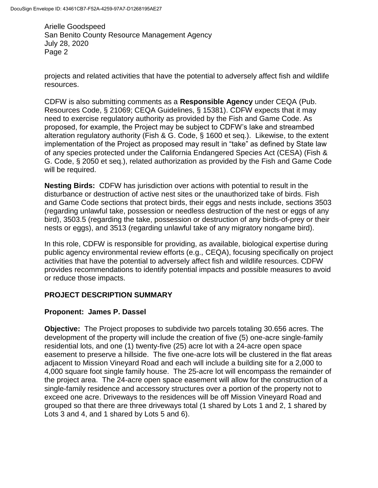projects and related activities that have the potential to adversely affect fish and wildlife resources.

CDFW is also submitting comments as a **Responsible Agency** under CEQA (Pub. Resources Code, § 21069; CEQA Guidelines, § 15381). CDFW expects that it may need to exercise regulatory authority as provided by the Fish and Game Code. As proposed, for example, the Project may be subject to CDFW's lake and streambed alteration regulatory authority (Fish & G. Code, § 1600 et seq.). Likewise, to the extent implementation of the Project as proposed may result in "take" as defined by State law of any species protected under the California Endangered Species Act (CESA) (Fish & G. Code, § 2050 et seq.), related authorization as provided by the Fish and Game Code will be required.

**Nesting Birds:** CDFW has jurisdiction over actions with potential to result in the disturbance or destruction of active nest sites or the unauthorized take of birds. Fish and Game Code sections that protect birds, their eggs and nests include, sections 3503 (regarding unlawful take, possession or needless destruction of the nest or eggs of any bird), 3503.5 (regarding the take, possession or destruction of any birds-of-prey or their nests or eggs), and 3513 (regarding unlawful take of any migratory nongame bird).

In this role, CDFW is responsible for providing, as available, biological expertise during public agency environmental review efforts (e.g., CEQA), focusing specifically on project activities that have the potential to adversely affect fish and wildlife resources. CDFW provides recommendations to identify potential impacts and possible measures to avoid or reduce those impacts.

## **PROJECT DESCRIPTION SUMMARY**

### **Proponent: James P. Dassel**

**Objective:** The Project proposes to subdivide two parcels totaling 30.656 acres. The development of the property will include the creation of five (5) one-acre single-family residential lots, and one (1) twenty-five (25) acre lot with a 24-acre open space easement to preserve a hillside. The five one-acre lots will be clustered in the flat areas adjacent to Mission Vineyard Road and each will include a building site for a 2,000 to 4,000 square foot single family house. The 25-acre lot will encompass the remainder of the project area. The 24-acre open space easement will allow for the construction of a single-family residence and accessory structures over a portion of the property not to exceed one acre. Driveways to the residences will be off Mission Vineyard Road and grouped so that there are three driveways total (1 shared by Lots 1 and 2, 1 shared by Lots 3 and 4, and 1 shared by Lots 5 and 6).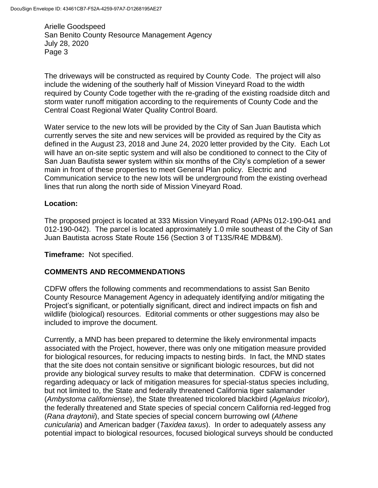The driveways will be constructed as required by County Code. The project will also include the widening of the southerly half of Mission Vineyard Road to the width required by County Code together with the re-grading of the existing roadside ditch and storm water runoff mitigation according to the requirements of County Code and the Central Coast Regional Water Quality Control Board.

Water service to the new lots will be provided by the City of San Juan Bautista which currently serves the site and new services will be provided as required by the City as defined in the August 23, 2018 and June 24, 2020 letter provided by the City. Each Lot will have an on-site septic system and will also be conditioned to connect to the City of San Juan Bautista sewer system within six months of the City's completion of a sewer main in front of these properties to meet General Plan policy. Electric and Communication service to the new lots will be underground from the existing overhead lines that run along the north side of Mission Vineyard Road.

#### **Location:**

The proposed project is located at 333 Mission Vineyard Road (APNs 012-190-041 and 012-190-042). The parcel is located approximately 1.0 mile southeast of the City of San Juan Bautista across State Route 156 (Section 3 of T13S/R4E MDB&M).

**Timeframe:** Not specified.

### **COMMENTS AND RECOMMENDATIONS**

CDFW offers the following comments and recommendations to assist San Benito County Resource Management Agency in adequately identifying and/or mitigating the Project's significant, or potentially significant, direct and indirect impacts on fish and wildlife (biological) resources. Editorial comments or other suggestions may also be included to improve the document.

Currently, a MND has been prepared to determine the likely environmental impacts associated with the Project, however, there was only one mitigation measure provided for biological resources, for reducing impacts to nesting birds. In fact, the MND states that the site does not contain sensitive or significant biologic resources, but did not provide any biological survey results to make that determination. CDFW is concerned regarding adequacy or lack of mitigation measures for special-status species including, but not limited to, the State and federally threatened California tiger salamander (*Ambystoma californiense*), the State threatened tricolored blackbird (*Agelaius tricolor*), the federally threatened and State species of special concern California red-legged frog (*Rana draytonii*), and State species of special concern burrowing owl (*Athene cunicularia*) and American badger (*Taxidea taxus*). In order to adequately assess any potential impact to biological resources, focused biological surveys should be conducted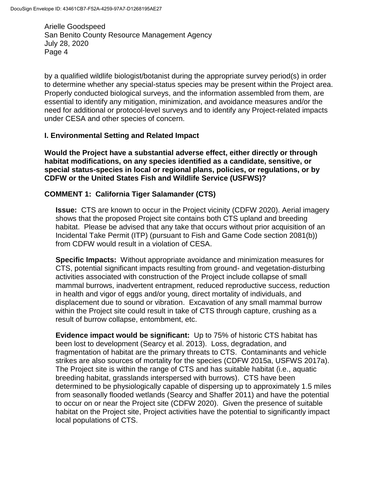by a qualified wildlife biologist/botanist during the appropriate survey period(s) in order to determine whether any special-status species may be present within the Project area. Properly conducted biological surveys, and the information assembled from them, are essential to identify any mitigation, minimization, and avoidance measures and/or the need for additional or protocol-level surveys and to identify any Project-related impacts under CESA and other species of concern.

#### **I. Environmental Setting and Related Impact**

**Would the Project have a substantial adverse effect, either directly or through habitat modifications, on any species identified as a candidate, sensitive, or special status-species in local or regional plans, policies, or regulations, or by CDFW or the United States Fish and Wildlife Service (USFWS)?**

### **COMMENT 1: California Tiger Salamander (CTS)**

**Issue:** CTS are known to occur in the Project vicinity (CDFW 2020). Aerial imagery shows that the proposed Project site contains both CTS upland and breeding habitat. Please be advised that any take that occurs without prior acquisition of an Incidental Take Permit (ITP) (pursuant to Fish and Game Code section 2081(b)) from CDFW would result in a violation of CESA.

**Specific Impacts:** Without appropriate avoidance and minimization measures for CTS, potential significant impacts resulting from ground- and vegetation-disturbing activities associated with construction of the Project include collapse of small mammal burrows, inadvertent entrapment, reduced reproductive success, reduction in health and vigor of eggs and/or young, direct mortality of individuals, and displacement due to sound or vibration. Excavation of any small mammal burrow within the Project site could result in take of CTS through capture, crushing as a result of burrow collapse, entombment, etc.

**Evidence impact would be significant:** Up to 75% of historic CTS habitat has been lost to development (Searcy et al. 2013). Loss, degradation, and fragmentation of habitat are the primary threats to CTS. Contaminants and vehicle strikes are also sources of mortality for the species (CDFW 2015a, USFWS 2017a). The Project site is within the range of CTS and has suitable habitat (i.e., aquatic breeding habitat, grasslands interspersed with burrows). CTS have been determined to be physiologically capable of dispersing up to approximately 1.5 miles from seasonally flooded wetlands (Searcy and Shaffer 2011) and have the potential to occur on or near the Project site (CDFW 2020). Given the presence of suitable habitat on the Project site, Project activities have the potential to significantly impact local populations of CTS.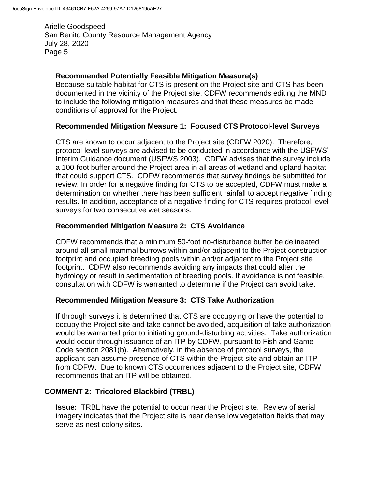### **Recommended Potentially Feasible Mitigation Measure(s)**

Because suitable habitat for CTS is present on the Project site and CTS has been documented in the vicinity of the Project site, CDFW recommends editing the MND to include the following mitigation measures and that these measures be made conditions of approval for the Project.

### **Recommended Mitigation Measure 1: Focused CTS Protocol-level Surveys**

CTS are known to occur adjacent to the Project site (CDFW 2020). Therefore, protocol-level surveys are advised to be conducted in accordance with the USFWS' Interim Guidance document (USFWS 2003). CDFW advises that the survey include a 100-foot buffer around the Project area in all areas of wetland and upland habitat that could support CTS. CDFW recommends that survey findings be submitted for review. In order for a negative finding for CTS to be accepted, CDFW must make a determination on whether there has been sufficient rainfall to accept negative finding results. In addition, acceptance of a negative finding for CTS requires protocol-level surveys for two consecutive wet seasons.

### **Recommended Mitigation Measure 2: CTS Avoidance**

CDFW recommends that a minimum 50-foot no-disturbance buffer be delineated around all small mammal burrows within and/or adjacent to the Project construction footprint and occupied breeding pools within and/or adjacent to the Project site footprint. CDFW also recommends avoiding any impacts that could alter the hydrology or result in sedimentation of breeding pools. If avoidance is not feasible, consultation with CDFW is warranted to determine if the Project can avoid take.

### **Recommended Mitigation Measure 3: CTS Take Authorization**

If through surveys it is determined that CTS are occupying or have the potential to occupy the Project site and take cannot be avoided, acquisition of take authorization would be warranted prior to initiating ground-disturbing activities. Take authorization would occur through issuance of an ITP by CDFW, pursuant to Fish and Game Code section 2081(b). Alternatively, in the absence of protocol surveys, the applicant can assume presence of CTS within the Project site and obtain an ITP from CDFW. Due to known CTS occurrences adjacent to the Project site, CDFW recommends that an ITP will be obtained.

### **COMMENT 2: Tricolored Blackbird (TRBL)**

**Issue:** TRBL have the potential to occur near the Project site. Review of aerial imagery indicates that the Project site is near dense low vegetation fields that may serve as nest colony sites.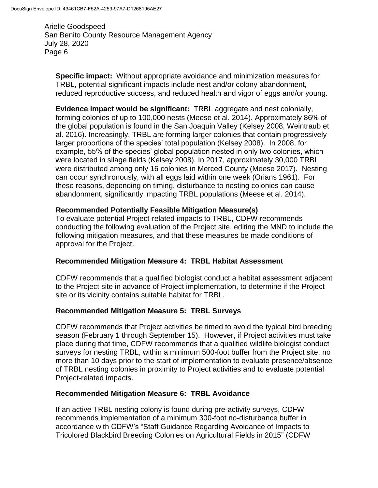**Specific impact:** Without appropriate avoidance and minimization measures for TRBL, potential significant impacts include nest and/or colony abandonment, reduced reproductive success, and reduced health and vigor of eggs and/or young.

**Evidence impact would be significant:** TRBL aggregate and nest colonially, forming colonies of up to 100,000 nests (Meese et al. 2014). Approximately 86% of the global population is found in the San Joaquin Valley (Kelsey 2008, Weintraub et al. 2016). Increasingly, TRBL are forming larger colonies that contain progressively larger proportions of the species' total population (Kelsey 2008). In 2008, for example, 55% of the species' global population nested in only two colonies, which were located in silage fields (Kelsey 2008). In 2017, approximately 30,000 TRBL were distributed among only 16 colonies in Merced County (Meese 2017). Nesting can occur synchronously, with all eggs laid within one week (Orians 1961). For these reasons, depending on timing, disturbance to nesting colonies can cause abandonment, significantly impacting TRBL populations (Meese et al. 2014).

### **Recommended Potentially Feasible Mitigation Measure(s)**

To evaluate potential Project-related impacts to TRBL, CDFW recommends conducting the following evaluation of the Project site, editing the MND to include the following mitigation measures, and that these measures be made conditions of approval for the Project.

### **Recommended Mitigation Measure 4: TRBL Habitat Assessment**

CDFW recommends that a qualified biologist conduct a habitat assessment adjacent to the Project site in advance of Project implementation, to determine if the Project site or its vicinity contains suitable habitat for TRBL.

#### **Recommended Mitigation Measure 5: TRBL Surveys**

CDFW recommends that Project activities be timed to avoid the typical bird breeding season (February 1 through September 15). However, if Project activities must take place during that time, CDFW recommends that a qualified wildlife biologist conduct surveys for nesting TRBL, within a minimum 500-foot buffer from the Project site, no more than 10 days prior to the start of implementation to evaluate presence/absence of TRBL nesting colonies in proximity to Project activities and to evaluate potential Project-related impacts.

#### **Recommended Mitigation Measure 6: TRBL Avoidance**

If an active TRBL nesting colony is found during pre-activity surveys, CDFW recommends implementation of a minimum 300-foot no-disturbance buffer in accordance with CDFW's "Staff Guidance Regarding Avoidance of Impacts to Tricolored Blackbird Breeding Colonies on Agricultural Fields in 2015" (CDFW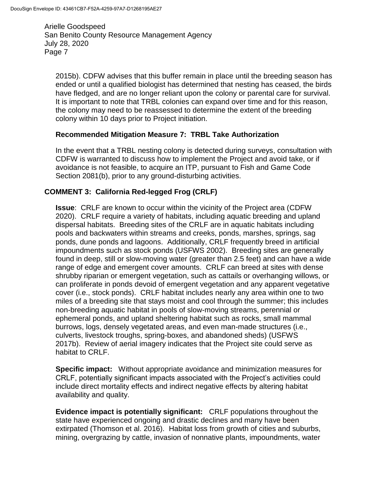2015b). CDFW advises that this buffer remain in place until the breeding season has ended or until a qualified biologist has determined that nesting has ceased, the birds have fledged, and are no longer reliant upon the colony or parental care for survival. It is important to note that TRBL colonies can expand over time and for this reason, the colony may need to be reassessed to determine the extent of the breeding colony within 10 days prior to Project initiation.

#### **Recommended Mitigation Measure 7: TRBL Take Authorization**

In the event that a TRBL nesting colony is detected during surveys, consultation with CDFW is warranted to discuss how to implement the Project and avoid take, or if avoidance is not feasible, to acquire an ITP, pursuant to Fish and Game Code Section 2081(b), prior to any ground-disturbing activities.

### **COMMENT 3: California Red-legged Frog (CRLF)**

**Issue**: CRLF are known to occur within the vicinity of the Project area (CDFW 2020). CRLF require a variety of habitats, including aquatic breeding and upland dispersal habitats. Breeding sites of the CRLF are in aquatic habitats including pools and backwaters within streams and creeks, ponds, marshes, springs, sag ponds, dune ponds and lagoons. Additionally, CRLF frequently breed in artificial impoundments such as stock ponds (USFWS 2002). Breeding sites are generally found in deep, still or slow-moving water (greater than 2.5 feet) and can have a wide range of edge and emergent cover amounts. CRLF can breed at sites with dense shrubby riparian or emergent vegetation, such as cattails or overhanging willows, or can proliferate in ponds devoid of emergent vegetation and any apparent vegetative cover (i.e., stock ponds). CRLF habitat includes nearly any area within one to two miles of a breeding site that stays moist and cool through the summer; this includes non-breeding aquatic habitat in pools of slow-moving streams, perennial or ephemeral ponds, and upland sheltering habitat such as rocks, small mammal burrows, logs, densely vegetated areas, and even man-made structures (i.e., culverts, livestock troughs, spring-boxes, and abandoned sheds) (USFWS 2017b). Review of aerial imagery indicates that the Project site could serve as habitat to CRLF.

**Specific impact:** Without appropriate avoidance and minimization measures for CRLF, potentially significant impacts associated with the Project's activities could include direct mortality effects and indirect negative effects by altering habitat availability and quality.

**Evidence impact is potentially significant:** CRLF populations throughout the state have experienced ongoing and drastic declines and many have been extirpated (Thomson et al. 2016). Habitat loss from growth of cities and suburbs, mining, overgrazing by cattle, invasion of nonnative plants, impoundments, water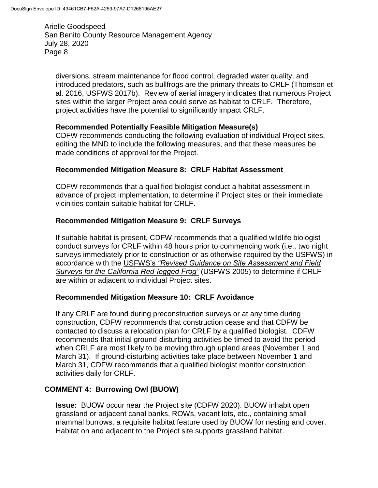diversions, stream maintenance for flood control, degraded water quality, and introduced predators, such as bullfrogs are the primary threats to CRLF (Thomson et al. 2016, USFWS 2017b). Review of aerial imagery indicates that numerous Project sites within the larger Project area could serve as habitat to CRLF. Therefore, project activities have the potential to significantly impact CRLF.

### **Recommended Potentially Feasible Mitigation Measure(s)**

CDFW recommends conducting the following evaluation of individual Project sites, editing the MND to include the following measures, and that these measures be made conditions of approval for the Project.

### **Recommended Mitigation Measure 8: CRLF Habitat Assessment**

CDFW recommends that a qualified biologist conduct a habitat assessment in advance of project implementation, to determine if Project sites or their immediate vicinities contain suitable habitat for CRLF.

#### **Recommended Mitigation Measure 9: CRLF Surveys**

If suitable habitat is present, CDFW recommends that a qualified wildlife biologist conduct surveys for CRLF within 48 hours prior to commencing work (i.e., two night surveys immediately prior to construction or as otherwise required by the USFWS) in accordance with the USFWS's *"Revised Guidance on Site Assessment and Field Surveys for the California Red-legged Frog"* (USFWS 2005) to determine if CRLF are within or adjacent to individual Project sites.

#### **Recommended Mitigation Measure 10: CRLF Avoidance**

If any CRLF are found during preconstruction surveys or at any time during construction, CDFW recommends that construction cease and that CDFW be contacted to discuss a relocation plan for CRLF by a qualified biologist. CDFW recommends that initial ground-disturbing activities be timed to avoid the period when CRLF are most likely to be moving through upland areas (November 1 and March 31). If ground-disturbing activities take place between November 1 and March 31, CDFW recommends that a qualified biologist monitor construction activities daily for CRLF.

### **COMMENT 4: Burrowing Owl (BUOW)**

**Issue:** BUOW occur near the Project site (CDFW 2020). BUOW inhabit open grassland or adjacent canal banks, ROWs, vacant lots, etc., containing small mammal burrows, a requisite habitat feature used by BUOW for nesting and cover. Habitat on and adjacent to the Project site supports grassland habitat.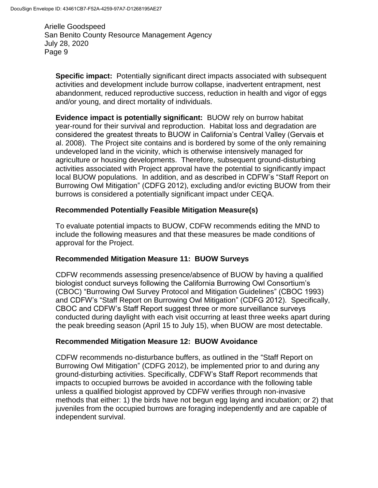**Specific impact:** Potentially significant direct impacts associated with subsequent activities and development include burrow collapse, inadvertent entrapment, nest abandonment, reduced reproductive success, reduction in health and vigor of eggs and/or young, and direct mortality of individuals.

**Evidence impact is potentially significant:** BUOW rely on burrow habitat year-round for their survival and reproduction. Habitat loss and degradation are considered the greatest threats to BUOW in California's Central Valley (Gervais et al. 2008). The Project site contains and is bordered by some of the only remaining undeveloped land in the vicinity, which is otherwise intensively managed for agriculture or housing developments. Therefore, subsequent ground-disturbing activities associated with Project approval have the potential to significantly impact local BUOW populations. In addition, and as described in CDFW's "Staff Report on Burrowing Owl Mitigation" (CDFG 2012), excluding and/or evicting BUOW from their burrows is considered a potentially significant impact under CEQA.

### **Recommended Potentially Feasible Mitigation Measure(s)**

To evaluate potential impacts to BUOW, CDFW recommends editing the MND to include the following measures and that these measures be made conditions of approval for the Project.

### **Recommended Mitigation Measure 11: BUOW Surveys**

CDFW recommends assessing presence/absence of BUOW by having a qualified biologist conduct surveys following the California Burrowing Owl Consortium's (CBOC) "Burrowing Owl Survey Protocol and Mitigation Guidelines" (CBOC 1993) and CDFW's "Staff Report on Burrowing Owl Mitigation" (CDFG 2012). Specifically, CBOC and CDFW's Staff Report suggest three or more surveillance surveys conducted during daylight with each visit occurring at least three weeks apart during the peak breeding season (April 15 to July 15), when BUOW are most detectable.

### **Recommended Mitigation Measure 12: BUOW Avoidance**

CDFW recommends no-disturbance buffers, as outlined in the "Staff Report on Burrowing Owl Mitigation" (CDFG 2012), be implemented prior to and during any ground-disturbing activities. Specifically, CDFW's Staff Report recommends that impacts to occupied burrows be avoided in accordance with the following table unless a qualified biologist approved by CDFW verifies through non-invasive methods that either: 1) the birds have not begun egg laying and incubation; or 2) that juveniles from the occupied burrows are foraging independently and are capable of independent survival.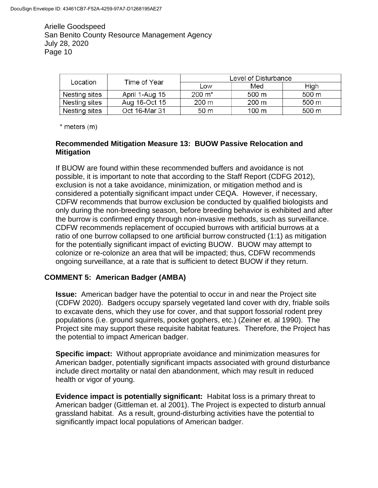| Location      | Time of Year   | Level of Disturbance |       |       |
|---------------|----------------|----------------------|-------|-------|
|               |                | Low                  | Med   | High  |
| Nesting sites | April 1-Aug 15 | $200 \; \text{m}^*$  | 500 m | 500 m |
| Nesting sites | Aug 16-Oct 15  | 200 m                | 200 m | 500 m |
| Nesting sites | Oct 16-Mar 31  | 50 <sub>m</sub>      | 100 m | 500 m |

 $*$  meters  $(m)$ 

### **Recommended Mitigation Measure 13: BUOW Passive Relocation and Mitigation**

If BUOW are found within these recommended buffers and avoidance is not possible, it is important to note that according to the Staff Report (CDFG 2012), exclusion is not a take avoidance, minimization, or mitigation method and is considered a potentially significant impact under CEQA. However, if necessary, CDFW recommends that burrow exclusion be conducted by qualified biologists and only during the non-breeding season, before breeding behavior is exhibited and after the burrow is confirmed empty through non-invasive methods, such as surveillance. CDFW recommends replacement of occupied burrows with artificial burrows at a ratio of one burrow collapsed to one artificial burrow constructed (1:1) as mitigation for the potentially significant impact of evicting BUOW. BUOW may attempt to colonize or re-colonize an area that will be impacted; thus, CDFW recommends ongoing surveillance, at a rate that is sufficient to detect BUOW if they return.

## **COMMENT 5: American Badger (AMBA)**

**Issue:** American badger have the potential to occur in and near the Project site (CDFW 2020). Badgers occupy sparsely vegetated land cover with dry, friable soils to excavate dens, which they use for cover, and that support fossorial rodent prey populations (i.e. ground squirrels, pocket gophers, etc.) (Zeiner et. al 1990). The Project site may support these requisite habitat features. Therefore, the Project has the potential to impact American badger.

**Specific impact:** Without appropriate avoidance and minimization measures for American badger, potentially significant impacts associated with ground disturbance include direct mortality or natal den abandonment, which may result in reduced health or vigor of young.

**Evidence impact is potentially significant:** Habitat loss is a primary threat to American badger (Gittleman et. al 2001). The Project is expected to disturb annual grassland habitat. As a result, ground-disturbing activities have the potential to significantly impact local populations of American badger.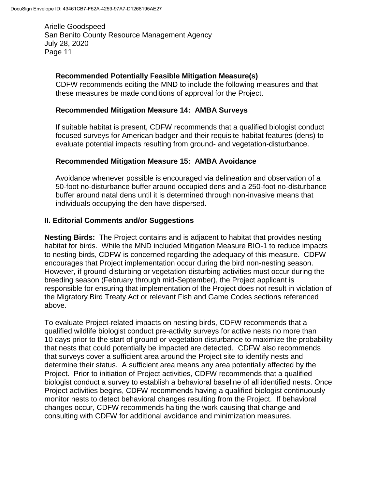### **Recommended Potentially Feasible Mitigation Measure(s)**

CDFW recommends editing the MND to include the following measures and that these measures be made conditions of approval for the Project.

### **Recommended Mitigation Measure 14: AMBA Surveys**

If suitable habitat is present, CDFW recommends that a qualified biologist conduct focused surveys for American badger and their requisite habitat features (dens) to evaluate potential impacts resulting from ground- and vegetation-disturbance.

### **Recommended Mitigation Measure 15: AMBA Avoidance**

Avoidance whenever possible is encouraged via delineation and observation of a 50-foot no-disturbance buffer around occupied dens and a 250-foot no-disturbance buffer around natal dens until it is determined through non-invasive means that individuals occupying the den have dispersed.

### **II. Editorial Comments and/or Suggestions**

**Nesting Birds:** The Project contains and is adjacent to habitat that provides nesting habitat for birds. While the MND included Mitigation Measure BIO-1 to reduce impacts to nesting birds, CDFW is concerned regarding the adequacy of this measure. CDFW encourages that Project implementation occur during the bird non-nesting season. However, if ground-disturbing or vegetation-disturbing activities must occur during the breeding season (February through mid-September), the Project applicant is responsible for ensuring that implementation of the Project does not result in violation of the Migratory Bird Treaty Act or relevant Fish and Game Codes sections referenced above.

To evaluate Project-related impacts on nesting birds, CDFW recommends that a qualified wildlife biologist conduct pre-activity surveys for active nests no more than 10 days prior to the start of ground or vegetation disturbance to maximize the probability that nests that could potentially be impacted are detected. CDFW also recommends that surveys cover a sufficient area around the Project site to identify nests and determine their status. A sufficient area means any area potentially affected by the Project. Prior to initiation of Project activities, CDFW recommends that a qualified biologist conduct a survey to establish a behavioral baseline of all identified nests. Once Project activities begins, CDFW recommends having a qualified biologist continuously monitor nests to detect behavioral changes resulting from the Project. If behavioral changes occur, CDFW recommends halting the work causing that change and consulting with CDFW for additional avoidance and minimization measures.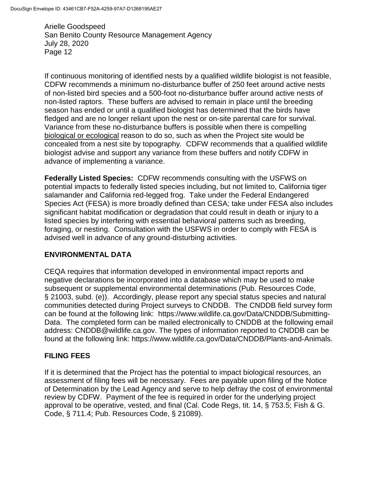If continuous monitoring of identified nests by a qualified wildlife biologist is not feasible, CDFW recommends a minimum no-disturbance buffer of 250 feet around active nests of non-listed bird species and a 500-foot no-disturbance buffer around active nests of non-listed raptors. These buffers are advised to remain in place until the breeding season has ended or until a qualified biologist has determined that the birds have fledged and are no longer reliant upon the nest or on-site parental care for survival. Variance from these no-disturbance buffers is possible when there is compelling biological or ecological reason to do so, such as when the Project site would be concealed from a nest site by topography. CDFW recommends that a qualified wildlife biologist advise and support any variance from these buffers and notify CDFW in advance of implementing a variance.

**Federally Listed Species:** CDFW recommends consulting with the USFWS on potential impacts to federally listed species including, but not limited to, California tiger salamander and California red-legged frog. Take under the Federal Endangered Species Act (FESA) is more broadly defined than CESA; take under FESA also includes significant habitat modification or degradation that could result in death or injury to a listed species by interfering with essential behavioral patterns such as breeding, foraging, or nesting. Consultation with the USFWS in order to comply with FESA is advised well in advance of any ground-disturbing activities.

### **ENVIRONMENTAL DATA**

CEQA requires that information developed in environmental impact reports and negative declarations be incorporated into a database which may be used to make subsequent or supplemental environmental determinations (Pub. Resources Code, § 21003, subd. (e)). Accordingly, please report any special status species and natural communities detected during Project surveys to CNDDB. The CNDDB field survey form can be found at the following link: https://www.wildlife.ca.gov/Data/CNDDB/Submitting-Data. The completed form can be mailed electronically to CNDDB at the following email address: CNDDB@wildlife.ca.gov. The types of information reported to CNDDB can be found at the following link: https://www.wildlife.ca.gov/Data/CNDDB/Plants-and-Animals.

### **FILING FEES**

If it is determined that the Project has the potential to impact biological resources, an assessment of filing fees will be necessary. Fees are payable upon filing of the Notice of Determination by the Lead Agency and serve to help defray the cost of environmental review by CDFW. Payment of the fee is required in order for the underlying project approval to be operative, vested, and final (Cal. Code Regs, tit. 14, § 753.5; Fish & G. Code, § 711.4; Pub. Resources Code, § 21089).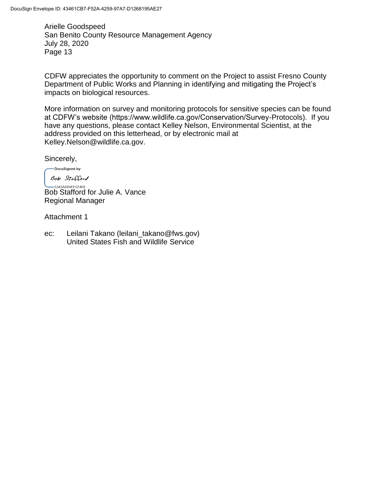CDFW appreciates the opportunity to comment on the Project to assist Fresno County Department of Public Works and Planning in identifying and mitigating the Project's impacts on biological resources.

More information on survey and monitoring protocols for sensitive species can be found at CDFW's website (https://www.wildlife.ca.gov/Conservation/Survey-Protocols). If you have any questions, please contact Kelley Nelson, Environmental Scientist, at the address provided on this letterhead, or by electronic mail at Kelley.Nelson@wildlife.ca.gov.

Sincerely,

-DocuSigned by: Bob Stafford

 $-5343A684FF02469...$ Bob Stafford for Julie A. Vance Regional Manager

Attachment 1

ec: Leilani Takano (leilani takano@fws.gov) United States Fish and Wildlife Service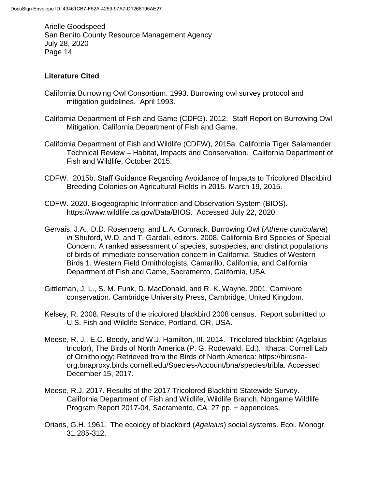### **Literature Cited**

- California Burrowing Owl Consortium. 1993. Burrowing owl survey protocol and mitigation guidelines. April 1993.
- California Department of Fish and Game (CDFG). 2012. Staff Report on Burrowing Owl Mitigation. California Department of Fish and Game.
- California Department of Fish and Wildlife (CDFW), 2015a. California Tiger Salamander Technical Review – Habitat, Impacts and Conservation. California Department of Fish and Wildlife, October 2015.
- CDFW. 2015b. Staff Guidance Regarding Avoidance of Impacts to Tricolored Blackbird Breeding Colonies on Agricultural Fields in 2015. March 19, 2015.
- CDFW. 2020. Biogeographic Information and Observation System (BIOS). https://www.wildlife.ca.gov/Data/BIOS. Accessed July 22, 2020.
- Gervais, J.A., D.D. Rosenberg, and L.A. Comrack. Burrowing Owl (*Athene cunicularia*) *in* Shuford, W.D. and T. Gardali, editors. 2008. California Bird Species of Special Concern: A ranked assessment of species, subspecies, and distinct populations of birds of immediate conservation concern in California. Studies of Western Birds 1. Western Field Ornithologists, Camarillo, California, and California Department of Fish and Game, Sacramento, California, USA.
- Gittleman, J. L., S. M. Funk, D. MacDonald, and R. K. Wayne. 2001. Carnivore conservation. Cambridge University Press, Cambridge, United Kingdom.
- Kelsey, R. 2008. Results of the tricolored blackbird 2008 census. Report submitted to U.S. Fish and Wildlife Service, Portland, OR, USA.
- Meese, R. J., E.C. Beedy, and W.J. Hamilton, III. 2014. Tricolored blackbird (Agelaius tricolor), The Birds of North America (P. G. Rodewald, Ed.). Ithaca: Cornell Lab of Ornithology; Retrieved from the Birds of North America: https://birdsnaorg.bnaproxy.birds.cornell.edu/Species-Account/bna/species/tribla. Accessed December 15, 2017.
- Meese, R.J. 2017. Results of the 2017 Tricolored Blackbird Statewide Survey. California Department of Fish and Wildlife, Wildlife Branch, Nongame Wildlife Program Report 2017-04, Sacramento, CA. 27 pp. + appendices.
- Orians, G.H. 1961. The ecology of blackbird (*Agelaius*) social systems. Ecol. Monogr. 31:285-312.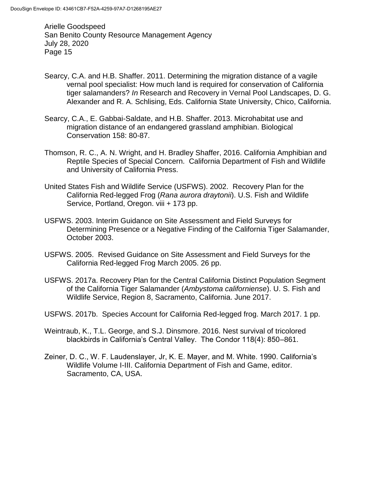- Searcy, C.A. and H.B. Shaffer. 2011. Determining the migration distance of a vagile vernal pool specialist: How much land is required for conservation of California tiger salamanders? *In* Research and Recovery in Vernal Pool Landscapes, D. G. Alexander and R. A. Schlising, Eds. California State University, Chico, California.
- Searcy, C.A., E. Gabbai-Saldate, and H.B. Shaffer. 2013. Microhabitat use and migration distance of an endangered grassland amphibian. Biological Conservation 158: 80-87.
- Thomson, R. C., A. N. Wright, and H. Bradley Shaffer, 2016. California Amphibian and Reptile Species of Special Concern. California Department of Fish and Wildlife and University of California Press.
- United States Fish and Wildlife Service (USFWS). 2002. Recovery Plan for the California Red-legged Frog (*Rana aurora draytonii*). U.S. Fish and Wildlife Service, Portland, Oregon. viii + 173 pp.
- USFWS. 2003. Interim Guidance on Site Assessment and Field Surveys for Determining Presence or a Negative Finding of the California Tiger Salamander, October 2003.
- USFWS. 2005. Revised Guidance on Site Assessment and Field Surveys for the California Red-legged Frog March 2005. 26 pp.
- USFWS. 2017a. Recovery Plan for the Central California Distinct Population Segment of the California Tiger Salamander (*Ambystoma californiense*). U. S. Fish and Wildlife Service, Region 8, Sacramento, California. June 2017.
- USFWS. 2017b. Species Account for California Red-legged frog. March 2017. 1 pp.
- Weintraub, K., T.L. George, and S.J. Dinsmore. 2016. Nest survival of tricolored blackbirds in California's Central Valley. The Condor 118(4): 850–861.
- Zeiner, D. C., W. F. Laudenslayer, Jr, K. E. Mayer, and M. White. 1990. California's Wildlife Volume I-III. California Department of Fish and Game, editor. Sacramento, CA, USA.